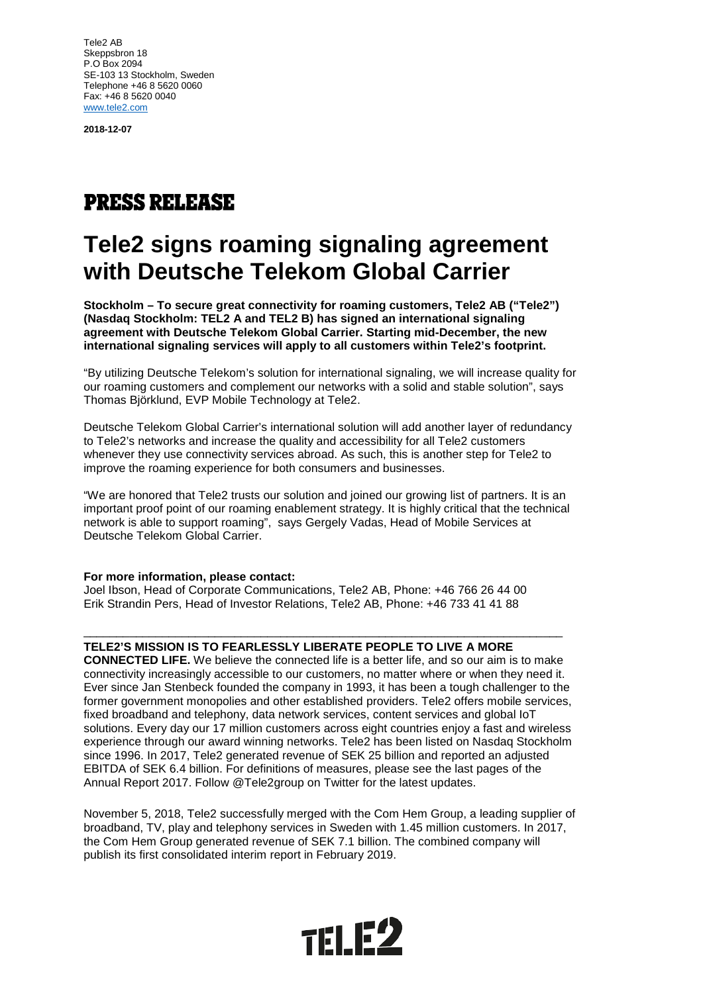Tele2 AB Skeppsbron 18 P.O Box 2094 SE-103 13 Stockholm, Sweden Telephone +46 8 5620 0060 Fax: +46 8 5620 0040 [www.tele2.com](http://www.tele2.com/)

**2018-12-07**

## **PRESS RELEASE**

## **Tele2 signs roaming signaling agreement with Deutsche Telekom Global Carrier**

**Stockholm – To secure great connectivity for roaming customers, Tele2 AB ("Tele2") (Nasdaq Stockholm: TEL2 A and TEL2 B) has signed an international signaling agreement with Deutsche Telekom Global Carrier. Starting mid-December, the new international signaling services will apply to all customers within Tele2's footprint.**

"By utilizing Deutsche Telekom's solution for international signaling, we will increase quality for our roaming customers and complement our networks with a solid and stable solution", says Thomas Björklund, EVP Mobile Technology at Tele2.

Deutsche Telekom Global Carrier's international solution will add another layer of redundancy to Tele2's networks and increase the quality and accessibility for all Tele2 customers whenever they use connectivity services abroad. As such, this is another step for Tele2 to improve the roaming experience for both consumers and businesses.

"We are honored that Tele2 trusts our solution and joined our growing list of partners. It is an important proof point of our roaming enablement strategy. It is highly critical that the technical network is able to support roaming", says Gergely Vadas, Head of Mobile Services at Deutsche Telekom Global Carrier.

## **For more information, please contact:**

Joel Ibson, Head of Corporate Communications, Tele2 AB, Phone: +46 766 26 44 00 Erik Strandin Pers, Head of Investor Relations, Tele2 AB, Phone: +46 733 41 41 88

## **TELE2'S MISSION IS TO FEARLESSLY LIBERATE PEOPLE TO LIVE A MORE**

**CONNECTED LIFE.** We believe the connected life is a better life, and so our aim is to make connectivity increasingly accessible to our customers, no matter where or when they need it. Ever since Jan Stenbeck founded the company in 1993, it has been a tough challenger to the former government monopolies and other established providers. Tele2 offers mobile services, fixed broadband and telephony, data network services, content services and global IoT solutions. Every day our 17 million customers across eight countries enjoy a fast and wireless experience through our award winning networks. Tele2 has been listed on Nasdaq Stockholm since 1996. In 2017, Tele2 generated revenue of SEK 25 billion and reported an adjusted EBITDA of SEK 6.4 billion. For definitions of measures, please see the last pages of the Annual Report 2017. Follow @Tele2group on Twitter for the latest updates.

\_\_\_\_\_\_\_\_\_\_\_\_\_\_\_\_\_\_\_\_\_\_\_\_\_\_\_\_\_\_\_\_\_\_\_\_\_\_\_\_\_\_\_\_\_\_\_\_\_\_\_\_\_\_\_\_\_\_\_\_\_\_\_\_\_\_\_\_\_\_\_\_\_

November 5, 2018, Tele2 successfully merged with the Com Hem Group, a leading supplier of broadband, TV, play and telephony services in Sweden with 1.45 million customers. In 2017, the Com Hem Group generated revenue of SEK 7.1 billion. The combined company will publish its first consolidated interim report in February 2019.